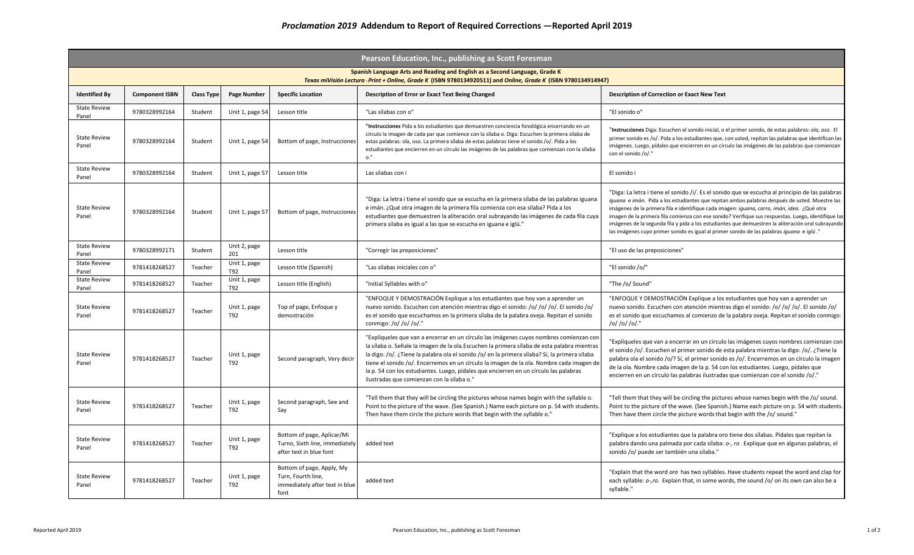| Pearson Education, Inc., publishing as Scott Foresman                                                                                                                                         |                       |                   |                     |                                                                                           |                                                                                                                                                                                                                                                                                                                                                                                                                                                                                                                            |                                                                                                                                                                                                                                                                                                                                                                                                                                                                                                                                                                                                            |  |  |  |
|-----------------------------------------------------------------------------------------------------------------------------------------------------------------------------------------------|-----------------------|-------------------|---------------------|-------------------------------------------------------------------------------------------|----------------------------------------------------------------------------------------------------------------------------------------------------------------------------------------------------------------------------------------------------------------------------------------------------------------------------------------------------------------------------------------------------------------------------------------------------------------------------------------------------------------------------|------------------------------------------------------------------------------------------------------------------------------------------------------------------------------------------------------------------------------------------------------------------------------------------------------------------------------------------------------------------------------------------------------------------------------------------------------------------------------------------------------------------------------------------------------------------------------------------------------------|--|--|--|
| Spanish Language Arts and Reading and English as a Second Language, Grade K<br>Texas miVisión Lectura - Print + Online, Grade K (ISBN 9780134920511) and Online, Grade K (ISBN 9780134914947) |                       |                   |                     |                                                                                           |                                                                                                                                                                                                                                                                                                                                                                                                                                                                                                                            |                                                                                                                                                                                                                                                                                                                                                                                                                                                                                                                                                                                                            |  |  |  |
| <b>Identified By</b>                                                                                                                                                                          | <b>Component ISBN</b> | <b>Class Type</b> | Page Number         | <b>Specific Location</b>                                                                  | Description of Error or Exact Text Being Changed                                                                                                                                                                                                                                                                                                                                                                                                                                                                           | <b>Description of Correction or Exact New Text</b>                                                                                                                                                                                                                                                                                                                                                                                                                                                                                                                                                         |  |  |  |
| <b>State Review</b><br>Panel                                                                                                                                                                  | 9780328992164         | Student           | Unit 1, page 54     | Lesson title                                                                              | "Las sílabas con o"                                                                                                                                                                                                                                                                                                                                                                                                                                                                                                        | "El sonido o"                                                                                                                                                                                                                                                                                                                                                                                                                                                                                                                                                                                              |  |  |  |
| <b>State Review</b><br>Panel                                                                                                                                                                  | 9780328992164         | Student           | Unit 1, page 54     | Bottom of page, Instrucciones                                                             | "Instrucciones Pida a los estudiantes que demuestren conciencia fonológica encerrando en un<br>círculo la imagen de cada par que comience con la sílaba o. Diga: Escuchen la primera sílaba de<br>estas palabras: ola, oso. La primera sílaba de estas palabras tiene el sonido /o/. Pida a los<br>estudiantes que encierren en un círculo las imágenes de las palabras que comienzan con la sílaba<br>o."                                                                                                                 | "Instrucciones Diga: Escuchen el sonido inicial, o el primer sonido, de estas palabras: ola, oso. El<br>primer sonido es /o/. Pida a los estudiantes que, con usted, repitan las palabras que identifican las<br>imágenes. Luego, pídales que encierren en un círculo las imágenes de las palabras que comienzan<br>con el sonido /o/."                                                                                                                                                                                                                                                                    |  |  |  |
| <b>State Review</b><br>Panel                                                                                                                                                                  | 9780328992164         | Student           | Unit 1, page 57     | Lesson title                                                                              | Las sílabas con i                                                                                                                                                                                                                                                                                                                                                                                                                                                                                                          | El sonido i                                                                                                                                                                                                                                                                                                                                                                                                                                                                                                                                                                                                |  |  |  |
| <b>State Review</b><br>Panel                                                                                                                                                                  | 9780328992164         | Student           | Unit 1, page 57     | Bottom of page, Instrucciones                                                             | "Diga: La letra i tiene el sonido que se escucha en la primera sílaba de las palabras iguana<br>e imán. ¿Qué otra imagen de la primera fila comienza con esa sílaba? Pida a los<br>estudiantes que demuestren la aliteración oral subrayando las imágenes de cada fila cuya<br>primera sílaba es igual a las que se escucha en iguana e iglú."                                                                                                                                                                             | "Diga: La letra i tiene el sonido /i/. Es el sonido que se escucha al principio de las palabras<br>iguana e imán. Pida a los estudiantes que repitan ambas palabras después de usted. Muestre las<br>imágenes de la primera fila e identifique cada imagen: iguana, carro, imán, idea. ¿Qué otra<br>imagen de la primera fila comienza con ese sonido? Verifique sus respuestas. Luego, identifique las<br>imágenes de la segunda fila y pida a los estudiantes que demuestren la aliteración oral subrayando<br>las imágenes cuyo primer sonido es igual al primer sonido de las palabras iguana e iglú." |  |  |  |
| <b>State Review</b><br>Panel                                                                                                                                                                  | 9780328992171         | Student           | Unit 2, page<br>201 | Lesson title                                                                              | "Corregir las preposiciones"                                                                                                                                                                                                                                                                                                                                                                                                                                                                                               | "El uso de las preposiciones"                                                                                                                                                                                                                                                                                                                                                                                                                                                                                                                                                                              |  |  |  |
| <b>State Review</b><br>Panel                                                                                                                                                                  | 9781418268527         | Teacher           | Unit 1, page<br>T92 | Lesson title (Spanish)                                                                    | "Las sílabas iniciales con o"                                                                                                                                                                                                                                                                                                                                                                                                                                                                                              | "El sonido /o/"                                                                                                                                                                                                                                                                                                                                                                                                                                                                                                                                                                                            |  |  |  |
| <b>State Review</b><br>Panel                                                                                                                                                                  | 9781418268527         | Teacher           | Unit 1, page<br>T92 | Lesson title (English)                                                                    | "Initial Syllables with o"                                                                                                                                                                                                                                                                                                                                                                                                                                                                                                 | "The /o/ Sound"                                                                                                                                                                                                                                                                                                                                                                                                                                                                                                                                                                                            |  |  |  |
| <b>State Review</b><br>Panel                                                                                                                                                                  | 9781418268527         | Teacher           | Unit 1, page<br>T92 | Top of page, Enfoque y<br>demostración                                                    | "ENFOQUE Y DEMOSTRACIÓN Explique a los estudiantes que hoy van a aprender un<br>nuevo sonido. Escuchen con atención mientras digo el sonido: /o/ /o/ /o/. El sonido /o/<br>es el sonido que escuchamos en la primera sílaba de la palabra oveja. Repitan el sonido<br>conmigo: /o/ /o/ /o/."                                                                                                                                                                                                                               | "ENFOQUE Y DEMOSTRACIÓN Explique a los estudiantes que hoy van a aprender un<br>nuevo sonido. Escuchen con atención mientras digo el sonido: /o/ /o/ /o/. El sonido /o/<br>es el sonido que escuchamos al comienzo de la palabra oveja. Repitan el sonido conmigo:<br>/o/ /o/ /o/."                                                                                                                                                                                                                                                                                                                        |  |  |  |
| <b>State Review</b><br>Panel                                                                                                                                                                  | 9781418268527         | Teacher           | Unit 1, page<br>T92 | Second paragraph, Very decir                                                              | "Explíqueles que van a encerrar en un círculo las imágenes cuyos nombres comienzan cor<br>la sílaba o. Señale la imagen de la ola. Escuchen la primera sílaba de esta palabra mientras<br>la digo: /o/. ¿Tiene la palabra ola el sonido /o/ en la primera sílaba? Sí, la primera sílaba<br>tiene el sonido /o/. Encerremos en un círculo la imagen de la ola. Nombre cada imagen de<br>la p. 54 con los estudiantes. Luego, pídales que encierren en un círculo las palabras<br>ilustradas que comienzan con la sílaba o." | "Explíqueles que van a encerrar en un círculo las imágenes cuyos nombres comienzan con<br>el sonido /o/. Escuchen el primer sonido de esta palabra mientras la digo: /o/. ¿Tiene la<br>palabra ola el sonido /o/? Sí, el primer sonido es /o/. Encerremos en un círculo la imagen<br>de la ola. Nombre cada imagen de la p. 54 con los estudiantes. Luego, pídales que<br>encierren en un círculo las palabras ilustradas que comienzan con el sonido /o/."                                                                                                                                                |  |  |  |
| <b>State Review</b><br>Panel                                                                                                                                                                  | 9781418268527         | Teacher           | Unit 1, page<br>T92 | Second paragraph, See and<br>Say                                                          | "Tell them that they will be circling the pictures whose names begin with the syllable o.<br>Point to the picture of the wave. (See Spanish.) Name each picture on p. 54 with students.<br>Then have them circle the picture words that begin with the syllable o."                                                                                                                                                                                                                                                        | "Tell them that they will be circling the pictures whose names begin with the /o/ sound.<br>Point to the picture of the wave. (See Spanish.) Name each picture on p. 54 with students.<br>Then have them circle the picture words that begin with the /o/ sound."                                                                                                                                                                                                                                                                                                                                          |  |  |  |
| <b>State Review</b><br>Panel                                                                                                                                                                  | 9781418268527         | Teacher           | Unit 1, page<br>T92 | Bottom of page, Aplicar/Mi<br>Turno, Sixth line, immediately<br>after text in blue font   | added text                                                                                                                                                                                                                                                                                                                                                                                                                                                                                                                 | "Explique a los estudiantes que la palabra oro tiene dos sílabas. Pídales que repitan la<br>palabra dando una palmada por cada sílaba: o-, ro . Explique que en algunas palabras, el<br>sonido /o/ puede ser también una sílaba."                                                                                                                                                                                                                                                                                                                                                                          |  |  |  |
| <b>State Review</b><br>Panel                                                                                                                                                                  | 9781418268527         | Teacher           | Unit 1, page<br>T92 | Bottom of page, Apply, My<br>Turn, Fourth line,<br>immediately after text in blue<br>font | added text                                                                                                                                                                                                                                                                                                                                                                                                                                                                                                                 | "Explain that the word oro has two syllables. Have students repeat the word and clap for<br>each syllable: o-,ro. Explain that, in some words, the sound /o/ on its own can also be a<br>syllable."                                                                                                                                                                                                                                                                                                                                                                                                        |  |  |  |